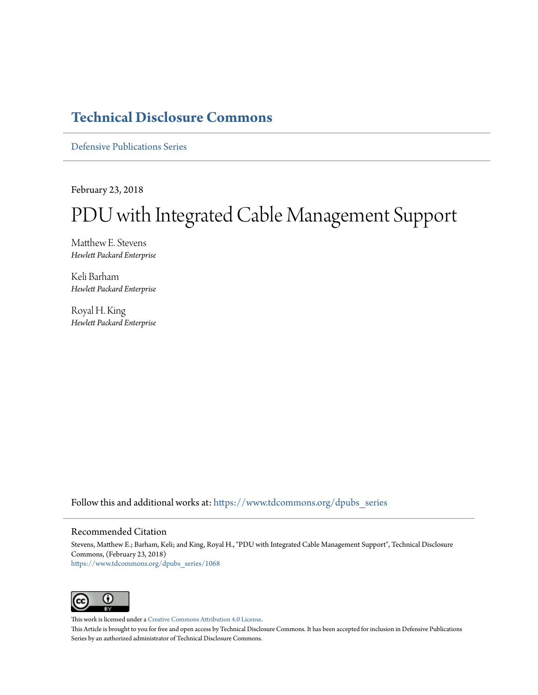# **[Technical Disclosure Commons](https://www.tdcommons.org?utm_source=www.tdcommons.org%2Fdpubs_series%2F1068&utm_medium=PDF&utm_campaign=PDFCoverPages)**

[Defensive Publications Series](https://www.tdcommons.org/dpubs_series?utm_source=www.tdcommons.org%2Fdpubs_series%2F1068&utm_medium=PDF&utm_campaign=PDFCoverPages)

February 23, 2018

# PDU with Integrated Cable Management Support

Matthew E. Stevens *Hewlett Packard Enterprise*

Keli Barham *Hewlett Packard Enterprise*

Royal H. King *Hewlett Packard Enterprise*

Follow this and additional works at: [https://www.tdcommons.org/dpubs\\_series](https://www.tdcommons.org/dpubs_series?utm_source=www.tdcommons.org%2Fdpubs_series%2F1068&utm_medium=PDF&utm_campaign=PDFCoverPages)

#### Recommended Citation

Stevens, Matthew E.; Barham, Keli; and King, Royal H., "PDU with Integrated Cable Management Support", Technical Disclosure Commons, (February 23, 2018) [https://www.tdcommons.org/dpubs\\_series/1068](https://www.tdcommons.org/dpubs_series/1068?utm_source=www.tdcommons.org%2Fdpubs_series%2F1068&utm_medium=PDF&utm_campaign=PDFCoverPages)



This work is licensed under a [Creative Commons Attribution 4.0 License.](http://creativecommons.org/licenses/by/4.0/deed.en_US)

This Article is brought to you for free and open access by Technical Disclosure Commons. It has been accepted for inclusion in Defensive Publications Series by an authorized administrator of Technical Disclosure Commons.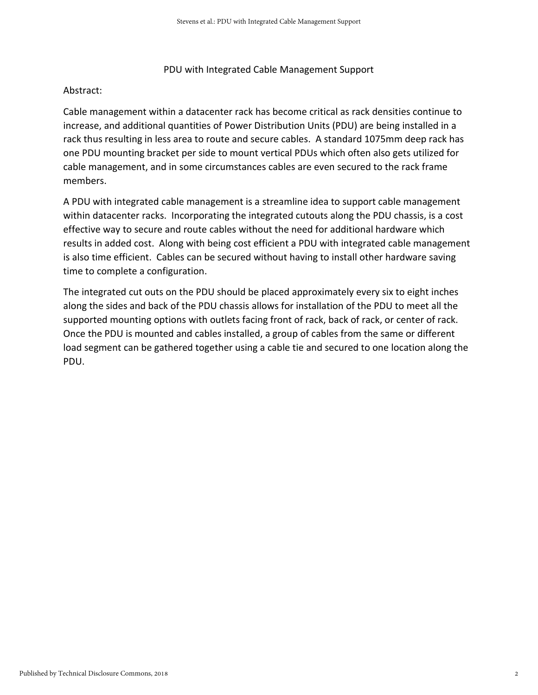## PDU with Integrated Cable Management Support

## Abstract:

Cable management within a datacenter rack has become critical as rack densities continue to increase, and additional quantities of Power Distribution Units (PDU) are being installed in a rack thus resulting in less area to route and secure cables. A standard 1075mm deep rack has one PDU mounting bracket per side to mount vertical PDUs which often also gets utilized for cable management, and in some circumstances cables are even secured to the rack frame members.

A PDU with integrated cable management is a streamline idea to support cable management within datacenter racks. Incorporating the integrated cutouts along the PDU chassis, is a cost effective way to secure and route cables without the need for additional hardware which results in added cost. Along with being cost efficient a PDU with integrated cable management is also time efficient. Cables can be secured without having to install other hardware saving time to complete a configuration.

The integrated cut outs on the PDU should be placed approximately every six to eight inches along the sides and back of the PDU chassis allows for installation of the PDU to meet all the supported mounting options with outlets facing front of rack, back of rack, or center of rack. Once the PDU is mounted and cables installed, a group of cables from the same or different load segment can be gathered together using a cable tie and secured to one location along the PDU.